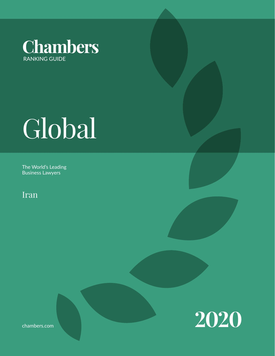

# Global

The World's Leading Business Lawyers

Iran



chambers.com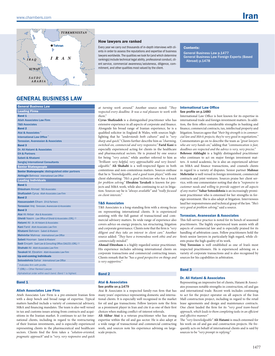

#### How lawyers are ranked

Every year we carry out thousands of in-depth interviews with clients in order to assess the reputations and expertise of business lawyers worldwide. The qualities we look for (and which determine rankings) include technical legal ability, professional conduct, client service, commercial awareness/astuteness, diligence, commitment, and other qualities most valued by the client.

#### Contents:

General Business Law p.1477 [General Business Law Foreign Experts \(Based](#page-2-0)   [Abroad\) p.1478](#page-2-0)

### GENERAL BUSINESS LAW

| <b>General Business Law</b>                                              |
|--------------------------------------------------------------------------|
| <b>Leading Firms</b>                                                     |
| <b>Band 1</b>                                                            |
| <b>Atieh Associates Law Firm</b>                                         |
| <b>T&amp;S Associates</b>                                                |
| <b>Band 2</b>                                                            |
| Atai & Associates <sup>®</sup>                                           |
| <b>International Law Office</b>                                          |
| <b>Torossian, Avanessian &amp; Associates</b>                            |
| <b>Band 3</b>                                                            |
| Dr. Ali Hatami & Associates                                              |
| <b>EH &amp; Partners</b>                                                 |
| Sabeti & Khatami                                                         |
| <b>Sanglaj International Consultants</b>                                 |
| <b>Senior Statespeople</b>                                               |
| Senior Statespeople: distinguished older partners                        |
| <b>Akhlaghi Behrooz International Law Office</b>                         |
| <b>Leading Individuals</b>                                               |
| <b>Band 1</b>                                                            |
| <b>Ehtesham Ahmad T&amp;S Associates</b>                                 |
| <b>Shafizadeh Cyrus Atieh Associates Law Firm</b>                        |
| <b>Band 2</b>                                                            |
| Hassanzadeh Elham EH & Partners                                          |
| <b>Torossian Vrej Torossian, Avanessian &amp; Associates</b>             |
| <b>Band 3</b>                                                            |
| Atai Ali Akbar Atai & Associates                                         |
| Gheidi Nasim Law Office of Gheidi & Associates (ORL) $\diamond$          |
| Hatami Ali Dr. Ali Hatami & Associates                                   |
| Kani Farid Atieh Associates Law Firm                                     |
| Khatami Behnam Sabeti & Khatami                                          |
| <b>Mehrinfar Mahnaz International Law Office</b>                         |
| Sabeti Hooman Sabeti & Khatami                                           |
| <b>Sadr</b> Encyeh Sadr Law & Consulting Office (SALCO) (ORL) $\diamond$ |
| <b>Shahabi Ali Atieh Associates Law Firm</b>                             |
| Tavakoli M. Ebrahim Atieh Associates Law Firm                            |
| <b>Up-and-coming individuals</b>                                         |
| Sotoodehnia Sahar International Law Office                               |
| * Indicates firm with profile.                                           |
| $\Diamond$ (ORL) = Other Ranked Lawyer.                                  |
| Alphabetical order within each band. Band 1 is highest.                  |

#### Band 1

#### Atieh Associates Law Firm

Atieh Associates Law Firm is a pre-eminent Iranian firm with a deep bench and broad range of expertise. Typical matters handled include a variety of commercial advisory, M&A and financing mandates. The team is also well versed in tax and customs issues arising from contracts and acquisitions in the Iranian market. It continues to act for international clients, including in regard to the restructuring of their Iranian investments, and is especially experienced representing clients in the pharmaceutical and healthcare sectors. Clients find the firm takes a *"solution-oriented, pragmatic approach"* and is *"very, very responsive and quick* 

*at turning work around."* Another source noted: *"They respected every deadline. It was a real pleasure to work with them."*

**Cyrus Shafizadeh** is a distinguished practitioner who has extensive experience in all aspects of corporate and finance. Alongside his broad range of Iranian experience, he is a qualified solicitor in England & Wales, with sources highlighting that he *"understands both cultures"* and is *"very sharp and quick."* Clients further describe him as *"charming, switched-on, commercial and very responsive."* **Farid Kani** is especially experienced acting for clients in the healthcare and pharmaceutical sectors. He is praised by one source for being *"very astute,"* while another referred to him as *"brilliant: very helpful, very approachable and very knowledgeable."* **Ali Shahabi** is a well-respected figure in both contentious and non-contentious matters. Sources enthuse that he is *"knowledgeable, and a good team player,"* with one client elaborating: *"He's a good technician who has a knack for problem solving."* **Ebrahim Tavakoli** is known for projects and M&A work, while also continuing to act in litigation. Sources say he is *"always available"* and *"really focused on client interests."*

#### T&S Associates

T&S Associates is a long-standing firm with a strong focus on representing international clients. It is experienced assisting with the full gamut of transactional and commercial advisory matters. Its wide range of experience also covers advice on energy projects, tax structuring, litigation and corporate governance. Clients note that the firm is *"very diligent and they take an interest in client care."* Another source added: *"They have a tremendous work ethic and are commercially minded."*

**Ahmad Ehtesham** is a highly regarded senior practitioner. His experience includes advising international clients on corporate transactions and commercial contracting issues. Clients remark that he *"has a good perspective on things and is very supportive."*

#### Band 2

#### Atai & Associates

#### See profile on p.1479 Atai & Associates is a respected family-run firm that has

many years' experience representing domestic and international clients. It is especially well recognised in the market for oil and gas transactions. Fellow lawyers note the firm as a prominent player in Iran and cite it as one of their first choices when making conflict-of-interest referrals.

**Ali Akbar Atai** is a veteran practitioner who has strong expertise within the oil and gas sector. He is also adept at a wide range of transactional and commercial contracting work, and sources note his experience advising on largescale projects.

#### International Law Office See profile on p.1480

International Law Office is best known for its expertise in international trade and foreign investment matters. In addition, the firm offers considerable strengths in banking and finance, commercial contracts, tax, intellectual property and litigation. Sources agree that *"their big strength is in commercial law and M&A projects; they're very good in negotiations."* Commentators go on to describe the team as *"great lawyers who are very hands-on,"* adding that *"communication is fast, deadlines are respected and the advice is very, very precise."*

**Behrooz Akhlaghi** is a highly distinguished practitioner who continues to act on major foreign investment matters. A noted academic, he is also an experienced adviser on M&A and finance transactions, and counsels clients in regard to a variety of disputes. Senior partner **Mahnaz Mehrinfar** is well versed in foreign investment, commercial contracts and joint ventures. Sources praise her client service, with one commentator noting that she is *"responsive to customer needs and willing to provide support on all aspects of any matter."* **Sahar Sotoodehnia** is an increasingly prominent practitioner who is esteemed for her strengths in foreign investment. She is also adept at litigation. Interviewees laud her responsiveness and technical grasp of the law. *"She's very good at problem solving,"* said a source.

#### Torossian, Avanessian & Associates

This full-service practice is noted for its bench of seasoned practitioners. The highly experienced team assists with all aspects of commercial law and is especially praised for its handling of arbitration cases. Fellow practitioners hold the firm's senior lawyers in particularly high regard, while clients praise the high quality of its work.

**Vrej Torossian** is well established as one of Iran's most respected practitioners. He is experienced advising on a variety of corporate transactions and is also recognised by sources for his capabilities in arbitration.

#### Band 3

#### Dr. Ali Hatami & Associates

Representing an impressive list of clients, Hatami & Associates possesses notable strengths in construction, oil and gas and international trade. Recent work includes continuing to act for the project operator on all aspects of the Iran Mall construction project, including in regard to the retail lease agreements and design and maintenance contracts. One client lauded the firm for its *"very good team-based approach, which leads to them completing tasks in an efficient and effective manner."*

The *"very knowledgeable"* **Ali Hatami** is much esteemed for his work on oil and gas and construction projects. He frequently acts on behalf of international clients and is said by sources to be *"very prompt in replying."*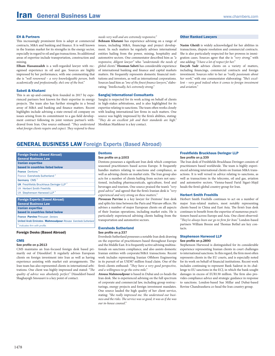#### <span id="page-2-0"></span>EH & Partners

This increasingly prominent firm is adept at commercial contracts, M&A and banking and finance. It is well known in the Iranian market for its strengths in the energy sector, especially in regard to oil and gas transactions. Its additional areas of expertise include transportation, construction and mining.

**Elham Hassanzadeh** is a well-regarded lawyer with recognised experience in oil and gas. Sources are highly impressed by her performance, with one commenting that she is *"well renowned – a very knowledgeable person, both academically and professionally; she's one of the best."*

#### Sabeti & Khatami

This is an up-and-coming firm founded in 2017 by experienced partners best known for their expertise in energy projects. The team also has further strengths in a broad array of M&A and banking and finance matters. Recent highlights include advising a state-owned oil company on issues arising from its commitment to a gas field development contract following its joint venture partner's withdrawal from Iran. One source enthused: *"They understand what foreign clients require and expect. They respond to those* 

#### *needs very well and are extremely responsive."*

**Behnam Khatami** has experience advising on a range of issues, including M&A, financings and project development. In such matters he regularly advises international entities hailing from the power, mining, hospitality and automotive sectors. One commentator described him as *"a responsive, diligent lawyer"* who *"understands the needs of global clients."* **Hooman Sabeti** has considerable experience of international banking and finance and capital markets matters. He frequently represents domestic financial institutions and investors, as well as international corporations. Sources laud him as *"one of the finest finance lawyers,"* elaborating: *"Intellectually, he's extremely strong."*

#### Sanglaj International Consultants

Sanglaj is respected for its work acting on behalf of clients in high-stakes arbitrations, and is also highlighted for its expertise relating to sanctions. The team often works closely with leading international law firms in such matters. One source was highly impressed by the firm's abilities, stating: *"They do an excellent job and their standards are high."*  Moshkan Mashkour is a key contact.

#### Other Ranked Lawyers

**Nasim Gheidi** is widely acknowledged for her abilities in transactions, dispute resolution and commercial contracts. She is also particularly respected for her prowess in immigration cases. Sources agree that she is *"very strong,"* with one adding: *"I have a lot of respect for her."*

**Encyeh Sadr** advises clients on a variety of matters, including financings, commercial contracts and foreign investment. Sources refer to her as *"really passionate about her work,"* with one commentator elaborating: *"She's excellent – very good indeed when it comes to foreign investment and aviation."*

#### GENERAL BUSINESS LAW Foreign Experts (Based Abroad)

| <b>Foreign Desks (Based Abroad)</b>                       |
|-----------------------------------------------------------|
| <b>General Business Law</b>                               |
| <b>Iranian expertise</b>                                  |
| based in countries listed below                           |
| <b>France Dentons*</b>                                    |
| France Eversheds Sutherland *                             |
| Germany CMS*                                              |
| <b>UK</b> Freshfields Bruckhaus Deringer LLP <sup>*</sup> |
| <b>UK Herbert Smith Freehills</b>                         |
| UK Stephenson Harwood LLP <sup>*</sup>                    |
|                                                           |
| <b>Foreign Experts (Based Abroad)</b>                     |
| <b>General Business Law</b>                               |
| .                                                         |

\* *Indicates firm with profile.* France Parvine Pirouzan *Dentons* United Arab Emirates Mahmoudpour Atousa *Eversheds Sutherland* Iranian expertise based in countries listed below

#### Foreign Desks (Based Abroad)

#### **CMS**

#### See profile on p.2613

CMS maintains an Iran-focused foreign desk based primarily out of Düsseldorf. It regularly advises European clients on foreign investment into Iran as well as having experience assisting with market exit arrangements. The Iran team has also represented clients in international arbitrations. One client was highly impressed and stated: *"The quality of advice was absolutely perfect."* Düsseldorf-based Shaghayegh Smousavi is a key point of contact.

#### Dentons

#### See profile on p.1003

Dentons possesses a significant Iran desk which comprises seasoned practitioners based across Europe. It frequently handles matters relating to sanctions and compliance, as well as advising clients on market exits. The Iran group also acts for a number of clients hailing from sectors not sanctioned, including pharmaceuticals, agriculture, food and beverages and tourism. One source praised the team's *"very good advice"* and agreed that the firm's Iranian desk is *"very experienced and very strong on these matters."*

**Pirouzan Parvine** is a key lawyer for Dentons' Iran desk and splits his time between the Paris and Warsaw offices. He advises a number of major European clients on all aspects of their Iranian operations, including market exits. He is particularly experienced advising clients hailing from the transportation and automotive sectors.

#### Eversheds Sutherland

#### See profile on p.337

Eversheds Sutherland possesses a notable Iran desk drawing on the expertise of practitioners based throughout Europe and the Middle East. It is frequently active advising multinationals on sanctions compliance, and also assists domestic Iranian entities with corporate/M&A transactions. Recent work includes representing Iranian Offshore Engineering in its pursuit of an USD87 million fraud claim. One of the firm's clients enthused: *"They have a very good perspective, and a willingness to go the extra mile."*

**Atousa Mahmoudpour** is based in Dubai and co-heads the Iran desk. She is experienced advising on the full spectrum of corporate and commercial law, including group restructurings, energy projects and foreign investment mandates. One source lauded the high quality of her client service, stating: *"She really impressed me. She understood our business and the risks. The service was so good, it was as if she was our in-house counsel."*

#### Freshfields Bruckhaus Deringer LLP See profile on p.339

The Iran desk of Freshfields Bruckhaus Deringer consists of practitioners based worldwide. The team is highly experienced advising international clients on Iranian M&A transactions. It is well versed in advice relating to sanctions, as well as transactions in the telecoms, oil and gas, aviation and automotive sectors. Vienna-based Farid Sigari-Majd heads the firm's global country group for Iran.

#### Herbert Smith Freehills

Herbert Smith Freehills continues to act on a number of major Iran-related matters, most notably representing clients based in China and East Asia. The firm's Iran desk continues to benefit from the expertise of numerous practitioners based across Europe and Asia. One client observed: *"They've always been our go-to firm for Iran."* London-based partners William Breeze and Thomas Bethel are key contacts.

#### Stephenson Harwood LLP See profile on p.2890

Stephenson Harwood is distinguished for its considerable experience representing Iranian clients in court challenges to international sanctions. In this regard, the firm most often represents clients in the EU courts, and is especially noted for its work on behalf of financial institutions. Recent work includes continuing to represent Bank Saderat in its challenge to EU sanctions in the ECJ, in which the bank sought damages in excess of EUR130 million. The firm also provides compliance advice and strategic guidance in response to sanctions. London-based Sue Millar and Dubai-based Rovine Chandrasekera co-head the Iran country group.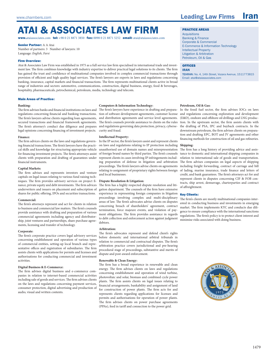## ataI & assocIates law fIrm

**www.**ataiassociates.com **tel:** +98 0 21 8871 3850 **fax:** 0098 0 21 8871 5252 **email:** atai@ataiassociates.com

#### **Senior Partner: A A Atai**

Number of partners: 3 Number of lawyers: 10 Language: *English, Farsi*

#### Firm Overview:

Atai & Associates Law Firm was established in 1975 as a full service law firm specialised in international trade and investment law. The firm combines knowledge with industry expertise to deliver practical legal solutions to its clients. The firm has gained the trust and confidence of multinational companies involved in complex commercial transactions through provision of efficient and high quality legal services. The firm's lawyers are experts in laws and regulations concerning banking, insurance, capital markets and financial transactions. The firm represents multinational clients active in broad range of industries and sectors: automotive, communications, construction, digital business, energy, food & beverages, hospitality, pharmaceuticals, petrochemical, petroleum, media, technology and telecom.

#### Main Areas of Practice:

#### **Banking:**

The firm advises banks and financial institutions on laws and regulations concerning financial and banking transactions. The firm's lawyers advise clients regarding loan agreements, secured transactions and financial framework agreements. The firm's attorney's conduct due diligence and prepares legal opinions concerning financing of investment projects.

#### **Finance:**

The firm advices clients on the laws and regulations governing financial transactions. The firm's lawyers have the practical skills and knowledge for structuring appropriate vehicle for financing investment projects. The firm's attorneys assist clients with preparation and drafting of guarantees under financial instruments.

#### **Capital Markets:**

The firm advises and represents investors and venture capitals on legal issues relating to various fund raising techniques. The firm provides advisory services on project finance, private equity and debt investments. The firm advices underwriters and issuers on placement and subscription of shares for public offering, IPOs and securities transactions.

#### **Commercial:**

The firm's attorneys represent and act for clients in relation to business and commercial law matters. The firm's counsels provide assistance with drafting and preparation of various commercial agreements including agency and distributorship, joint ventures and partnerships, share purchase agreements, licensing and transfer of technology.

#### **Corporate:**

The firm's corporate practice covers legal advisory services concerning establishment and operation of various types of commercial entities, setting-up local branch and representative offices and registration of subsidiaries. The firm assists clients with applications for permits and licenses and authorisations for conducting commercial and investment activities.

#### **Digital Business & E-Commerce:**

The firm advises digital business and e-commerce companies in relation to internet-based commercial activities including sale of goods and services. The firm advises clients on the laws and regulations concerning payment services, consumer protection, digital advertising and production of audio, visual and written contents.

#### **Computers & Information Technology:**

The firm's lawyers have experience in drafting and preparation of software development agreements, customer license and distribution agreements and service level agreements. The firm's counsels provide assistance to clients on the rules and regulations governing data protection, privacy, cybersecurity and fraud.

#### **Intellectual Property:**

In the IP sector, the firm's lawyers assist and represent clients on laws and regulations relating to IP protection including **Shipping:**  unauthorised use of domain names and misrepresentation of foreign brand names by third parties. The firm's counsels represent clients in cases involving IP infringements including preparation of defense in litigation and arbitration proceedings. The firm's lawyers advise clients on agreements relating to assignment of proprietary rights between foreign and local businesses.

#### **Dispute Resolution & Litigation:**

The firm has a highly respected dispute resolution and litigation department. The counsels of the firm have extensive experience in representing foreign companies in litigation proceedings involving complex and multi-disciplinary areas of law. The firm's advocates advise clients on disputes concerning breach of shareholders' agreement, contract termination, force majeure events, and violation of payment obligations. The firm provides assistance in regards to debt collection and enforcement action against judgment debtors.

#### **Arbitration:**

The firm's advocates represent and defend client's rights before domestic and international arbitral tribunals in relation to commercial and contractual disputes. The firm's arbitration practice covers jurisdictional and pre-hearing procedural stage of proceedings, substantive and merits of dispute and post-award enforcement.

#### **Renewable & Clean Energy:**

The firm has a broad experience in renewable and clean energy. The firm advises clients on laws and regulations concerning establishment and operation of wind turbine, photovoltaic and solar, biomass and combined cycle power plants. The firm assists clients on legal issues relating to financial arrangements, bankability and assignment of land for construction of power plants. The firm acts for and represents clients regarding applications for licenses and permits and authorisations for operation of power plants. The firm advises clients on power purchase agreements (PPAs), feed in tariff and connection to the power grid.

#### PrACtiCe AreAS

**Acquisitions** Banking & Finance Corporate & Commercial E-Commerce & Information Technology Intellectual Property Litigation & Arbitration Petroleum, Oil & Gas

#### **OFFICES** Iran

TEHRAN: No. 4, 14th Street, Vozara Avenue, 1511773815 Email: atai@ataiassociates.com

#### **Petroleum, Oil & Gas:**

In the fossil fuel sector, the firm advises IOCs on laws and regulations concerning exploration and development (E&D), onshore and offshore oil drillings and LNG production. In the upstream sector, the firm assists clients with the drafting of PSA, IPC and buyback contracts. In the downstream petroleum, the firm advises clients on preparation and drafting EPC, BOT and JV agreements and other financing methods for construction of oil and gas refineries.

The firm has a long history of providing advice and assistance to domestic and international shipping companies in relation to international sale of goods and transportation. The firm advises companies on legal aspects of shipping including freight forwarding, contract of carriage and bill of lading, marine insurance, trade finance and letters of credit, and bank guarantees. The firm's attorneys act for and represent clients in disputes concerning CIF & FOB contracts, ship arrest, demurrage, charterparties and contract of affreightment.

#### Key Clients:

The firm's clients are mostly multinational companies interested in conducting business and investments in emerging market. The firm implements KYC and conducts due diligence to ensure compliance with the international sanctions regulations. The firm's policy is to protect client interest and minimise risks associated with doing business.